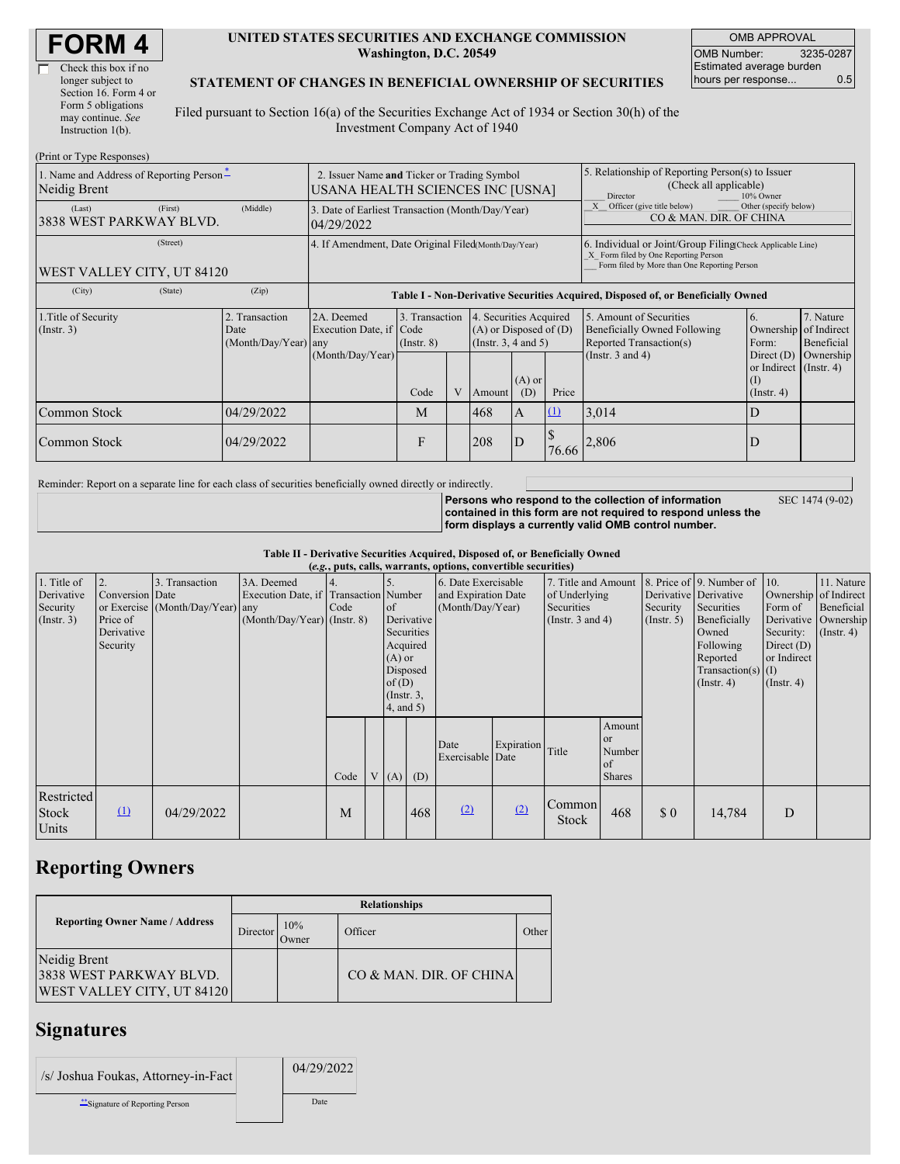| <b>FORM4</b> |
|--------------|
|--------------|

| Check this box if no  |
|-----------------------|
| longer subject to     |
| Section 16. Form 4 or |
| Form 5 obligations    |
| may continue. See     |
| Instruction $1(b)$ .  |
|                       |

 $(2p, 1, 1, \ldots, T)$  and  $p$ 

 $\Box$ 

#### **UNITED STATES SECURITIES AND EXCHANGE COMMISSION Washington, D.C. 20549**

OMB APPROVAL OMB Number: 3235-0287 Estimated average burden hours per response... 0.5

#### **STATEMENT OF CHANGES IN BENEFICIAL OWNERSHIP OF SECURITIES**

Filed pursuant to Section 16(a) of the Securities Exchange Act of 1934 or Section 30(h) of the Investment Company Act of 1940

| (Print or Type Responses)                                |                                                                                                                                                                                                                |                                                                                 |                                                                                  |                                                                                                                                                        |                              |                                                                                                                                                    |                                                                                                     |          |                                                                                |                                                            |           |  |
|----------------------------------------------------------|----------------------------------------------------------------------------------------------------------------------------------------------------------------------------------------------------------------|---------------------------------------------------------------------------------|----------------------------------------------------------------------------------|--------------------------------------------------------------------------------------------------------------------------------------------------------|------------------------------|----------------------------------------------------------------------------------------------------------------------------------------------------|-----------------------------------------------------------------------------------------------------|----------|--------------------------------------------------------------------------------|------------------------------------------------------------|-----------|--|
| 1. Name and Address of Reporting Person-<br>Neidig Brent |                                                                                                                                                                                                                | 2. Issuer Name and Ticker or Trading Symbol<br>USANA HEALTH SCIENCES INC [USNA] |                                                                                  |                                                                                                                                                        |                              |                                                                                                                                                    | 5. Relationship of Reporting Person(s) to Issuer<br>(Check all applicable)<br>Director<br>10% Owner |          |                                                                                |                                                            |           |  |
| (Last)<br>3838 WEST PARKWAY BLVD.                        | (First)                                                                                                                                                                                                        | (Middle)                                                                        | 3. Date of Earliest Transaction (Month/Day/Year)<br>04/29/2022                   |                                                                                                                                                        |                              |                                                                                                                                                    |                                                                                                     |          | Officer (give title below)<br>Other (specify below)<br>CO & MAN. DIR. OF CHINA |                                                            |           |  |
| WEST VALLEY CITY, UT 84120                               | 4. If Amendment, Date Original Filed(Month/Day/Year)                                                                                                                                                           |                                                                                 |                                                                                  |                                                                                                                                                        |                              | 6. Individual or Joint/Group Filing Check Applicable Line)<br>X Form filed by One Reporting Person<br>Form filed by More than One Reporting Person |                                                                                                     |          |                                                                                |                                                            |           |  |
| (City)                                                   | (State)                                                                                                                                                                                                        | (Zip)                                                                           | Table I - Non-Derivative Securities Acquired, Disposed of, or Beneficially Owned |                                                                                                                                                        |                              |                                                                                                                                                    |                                                                                                     |          |                                                                                |                                                            |           |  |
| 1. Title of Security<br>$($ Instr. 3 $)$                 | 2. Transaction<br>3. Transaction<br>4. Securities Acquired<br>2A. Deemed<br>Execution Date, if Code<br>$(A)$ or Disposed of $(D)$<br>Date<br>$(Month/Day/Year)$ any<br>(Insert. 3, 4 and 5)<br>$($ Instr. $8)$ |                                                                                 |                                                                                  | 5. Amount of Securities<br>7. Nature<br>16.<br>Ownership of Indirect<br>Beneficially Owned Following<br>Reported Transaction(s)<br>Beneficial<br>Form: |                              |                                                                                                                                                    |                                                                                                     |          |                                                                                |                                                            |           |  |
|                                                          |                                                                                                                                                                                                                |                                                                                 | (Month/Day/Year)                                                                 | Code                                                                                                                                                   | V                            | Amount                                                                                                                                             | $(A)$ or<br>(D)                                                                                     | Price    | (Instr. $3$ and $4$ )                                                          | Direct $(D)$<br>or Indirect (Instr. 4)<br>$($ Instr. 4 $)$ | Ownership |  |
| Common Stock                                             |                                                                                                                                                                                                                | 04/29/2022                                                                      |                                                                                  | M                                                                                                                                                      |                              | 468                                                                                                                                                | IA.                                                                                                 | $\Omega$ | 3,014                                                                          | D                                                          |           |  |
| Common Stock                                             |                                                                                                                                                                                                                | 04/29/2022                                                                      |                                                                                  | F                                                                                                                                                      | 208<br>$\mathbf{D}$<br>76.66 |                                                                                                                                                    |                                                                                                     | 2,806    | D                                                                              |                                                            |           |  |

Reminder: Report on a separate line for each class of securities beneficially owned directly or indirectly.

**Persons who respond to the collection of information**

SEC 1474 (9-02)

**contained in this form are not required to respond unless the form displays a currently valid OMB control number.**

**Table II - Derivative Securities Acquired, Disposed of, or Beneficially Owned (***e.g.***, puts, calls, warrants, options, convertible securities)**

|                           |                 |                                  |                                                     |      |                 |            | (e.g., puts, cans, warrants, operons, conver there securities |                  |                                      |                      |                  |                                                       |                       |                      |
|---------------------------|-----------------|----------------------------------|-----------------------------------------------------|------|-----------------|------------|---------------------------------------------------------------|------------------|--------------------------------------|----------------------|------------------|-------------------------------------------------------|-----------------------|----------------------|
| 1. Title of<br>Derivative | Conversion Date | 3. Transaction                   | 3A. Deemed<br>Execution Date, if Transaction Number |      |                 |            | 6. Date Exercisable<br>and Expiration Date                    |                  | 7. Title and Amount<br>of Underlying |                      |                  | 8. Price of 9. Number of 10.<br>Derivative Derivative | Ownership of Indirect | 11. Nature           |
| Security                  |                 | or Exercise (Month/Day/Year) any |                                                     | Code | <sub>of</sub>   |            |                                                               |                  | Securities                           |                      | Security         | Securities                                            | Form of               | Beneficial           |
|                           |                 |                                  |                                                     |      |                 |            | (Month/Day/Year)                                              |                  |                                      |                      |                  |                                                       |                       |                      |
| (Insert. 3)               | Price of        |                                  | $(Month/Day/Year)$ (Instr. 8)                       |      |                 | Derivative |                                                               |                  | (Instr. 3 and 4)                     |                      | $($ Instr. 5 $)$ | Beneficially                                          |                       | Derivative Ownership |
|                           | Derivative      |                                  |                                                     |      |                 | Securities |                                                               |                  |                                      |                      |                  | Owned                                                 | Security:             | $($ Instr. 4 $)$     |
|                           | Security        |                                  |                                                     |      |                 | Acquired   |                                                               |                  |                                      |                      |                  | Following                                             | Direct $(D)$          |                      |
|                           |                 |                                  |                                                     |      |                 | $(A)$ or   |                                                               |                  |                                      |                      | Reported         | or Indirect                                           |                       |                      |
|                           |                 |                                  |                                                     |      | Disposed        |            |                                                               |                  |                                      | $Transaction(s)$ (I) |                  |                                                       |                       |                      |
|                           |                 |                                  |                                                     |      | of(D)           |            |                                                               |                  |                                      | $($ Instr. 4 $)$     | $($ Instr. 4 $)$ |                                                       |                       |                      |
|                           |                 |                                  |                                                     |      | $($ Instr. $3,$ |            |                                                               |                  |                                      |                      |                  |                                                       |                       |                      |
|                           |                 |                                  |                                                     |      | 4, and 5)       |            |                                                               |                  |                                      |                      |                  |                                                       |                       |                      |
|                           |                 |                                  |                                                     |      |                 |            |                                                               |                  |                                      |                      |                  |                                                       |                       |                      |
|                           |                 |                                  |                                                     |      |                 |            |                                                               |                  |                                      | Amount               |                  |                                                       |                       |                      |
|                           |                 |                                  |                                                     |      |                 |            |                                                               |                  |                                      | <sub>or</sub>        |                  |                                                       |                       |                      |
|                           |                 |                                  |                                                     |      |                 |            | Date                                                          | Expiration Title |                                      | Number               |                  |                                                       |                       |                      |
|                           |                 |                                  |                                                     |      |                 |            | Exercisable Date                                              |                  |                                      | of                   |                  |                                                       |                       |                      |
|                           |                 |                                  |                                                     | Code |                 |            |                                                               |                  |                                      |                      |                  |                                                       |                       |                      |
|                           |                 |                                  |                                                     |      |                 | $V(A)$ (D) |                                                               |                  |                                      | <b>Shares</b>        |                  |                                                       |                       |                      |
| Restricted                |                 |                                  |                                                     |      |                 |            |                                                               |                  |                                      |                      |                  |                                                       |                       |                      |
|                           |                 |                                  |                                                     |      |                 |            | (2)                                                           | (2)              | Common                               |                      |                  |                                                       |                       |                      |
| <b>Stock</b>              | $\Omega$        | 04/29/2022                       |                                                     | M    |                 | 468        |                                                               |                  | <b>Stock</b>                         | 468                  | \$0              | 14,784                                                | D                     |                      |
| Units                     |                 |                                  |                                                     |      |                 |            |                                                               |                  |                                      |                      |                  |                                                       |                       |                      |
|                           |                 |                                  |                                                     |      |                 |            |                                                               |                  |                                      |                      |                  |                                                       |                       |                      |

## **Reporting Owners**

|                                                                              | <b>Relationships</b> |              |                         |       |  |  |  |  |  |  |
|------------------------------------------------------------------------------|----------------------|--------------|-------------------------|-------|--|--|--|--|--|--|
| <b>Reporting Owner Name / Address</b>                                        | Director             | 10%<br>Owner | Officer                 | Other |  |  |  |  |  |  |
| Neidig Brent<br>3838 WEST PARKWAY BLVD.<br><b>WEST VALLEY CITY, UT 84120</b> |                      |              | CO & MAN. DIR. OF CHINA |       |  |  |  |  |  |  |

### **Signatures**

| /s/ Joshua Foukas, Attorney-in-Fact | 04/29/2022 |
|-------------------------------------|------------|
| "Signature of Reporting Person      | Date       |